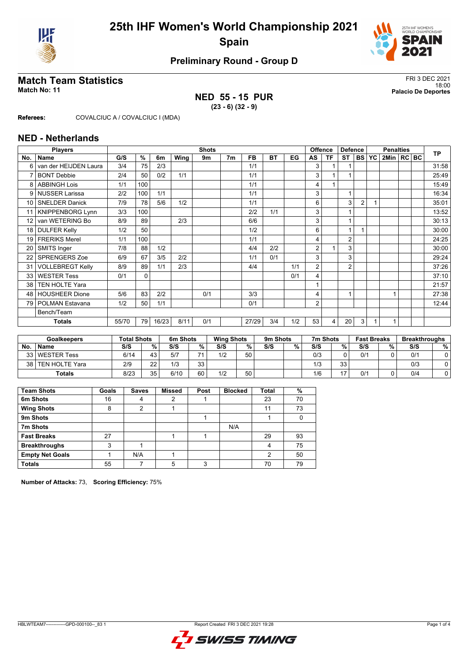



# **Match Team Statistics** FRI 3 DEC 2021

#### 18:00 **Match No: 11 Palacio De Deportes NED 55 - 15 PUR**

**(23 - 6) (32 - 9)**

**Referees:** COVALCIUC A / COVALCIUC I (MDA)

#### **NED - Netherlands**

|                 | <b>Players</b>          | <b>Shots</b> |                     |       |      |     |                |           |           |     | Offence        |    | <b>Defence</b> |                | <b>Penalties</b> |                  |  |  | <b>TP</b> |
|-----------------|-------------------------|--------------|---------------------|-------|------|-----|----------------|-----------|-----------|-----|----------------|----|----------------|----------------|------------------|------------------|--|--|-----------|
| No.             | Name                    | G/S          | $\overline{\gamma}$ | 6m    | Wing | 9m  | 7 <sub>m</sub> | <b>FB</b> | <b>BT</b> | EG  | AS             | ΤF | <b>ST</b>      | <b>BS</b>      | <b>YC</b>        | $2$ Min $ RC BC$ |  |  |           |
| 6               | van der HEIJDEN Laura   | 3/4          | 75                  | 2/3   |      |     |                | 1/1       |           |     | 3              |    |                |                |                  |                  |  |  | 31:58     |
| 7               | <b>BONT Debbie</b>      | 2/4          | 50                  | 0/2   | 1/1  |     |                | 1/1       |           |     | 3              |    | 1              |                |                  |                  |  |  | 25:49     |
| 8               | <b>ABBINGH Lois</b>     | 1/1          | 100                 |       |      |     |                | 1/1       |           |     | 4              |    |                |                |                  |                  |  |  | 15:49     |
| 9               | <b>NUSSER Larissa</b>   | 2/2          | 100                 | 1/1   |      |     |                | 1/1       |           |     | 3              |    | 1              |                |                  |                  |  |  | 16:34     |
| 10 <sup>1</sup> | <b>SNELDER Danick</b>   | 7/9          | 78                  | 5/6   | 1/2  |     |                | 1/1       |           |     | 6              |    | 3              | $\overline{2}$ |                  |                  |  |  | 35:01     |
| 11              | <b>KNIPPENBORG Lynn</b> | 3/3          | 100                 |       |      |     |                | 2/2       | 1/1       |     | 3              |    |                |                |                  |                  |  |  | 13:52     |
| 12 <sup>°</sup> | van WETERING Bo         | 8/9          | 89                  |       | 2/3  |     |                | 6/6       |           |     | 3              |    | 1              |                |                  |                  |  |  | 30:13     |
| 18              | <b>DULFER Kelly</b>     | 1/2          | 50                  |       |      |     |                | 1/2       |           |     | 6              |    | 1              |                |                  |                  |  |  | 30:00     |
| 19              | <b>FRERIKS Merel</b>    | 1/1          | 100                 |       |      |     |                | 1/1       |           |     | 4              |    | $\overline{2}$ |                |                  |                  |  |  | 24:25     |
| 20              | SMITS Inger             | 7/8          | 88                  | 1/2   |      |     |                | 4/4       | 2/2       |     | $\overline{2}$ |    | 3              |                |                  |                  |  |  | 30:00     |
| 22              | <b>SPRENGERS Zoe</b>    | 6/9          | 67                  | 3/5   | 2/2  |     |                | 1/1       | 0/1       |     | 3              |    | 3              |                |                  |                  |  |  | 29:24     |
| 31              | <b>VOLLEBREGT Kelly</b> | 8/9          | 89                  | 1/1   | 2/3  |     |                | 4/4       |           | 1/1 | 2              |    | $\overline{2}$ |                |                  |                  |  |  | 37:26     |
| 33              | <b>WESTER Tess</b>      | 0/1          | 0                   |       |      |     |                |           |           | 0/1 | 4              |    |                |                |                  |                  |  |  | 37:10     |
| 38              | <b>TEN HOLTE Yara</b>   |              |                     |       |      |     |                |           |           |     |                |    |                |                |                  |                  |  |  | 21:57     |
| 48              | <b>HOUSHEER Dione</b>   | 5/6          | 83                  | 2/2   |      | 0/1 |                | 3/3       |           |     | 4              |    | 1              |                |                  |                  |  |  | 27:38     |
| 79              | <b>POLMAN Estavana</b>  | 1/2          | 50                  | 1/1   |      |     |                | 0/1       |           |     | 2              |    |                |                |                  |                  |  |  | 12:44     |
|                 | Bench/Team              |              |                     |       |      |     |                |           |           |     |                |    |                |                |                  |                  |  |  |           |
|                 | <b>Totals</b>           | 55/70        | 79                  | 16/23 | 8/11 | 0/1 |                | 27/29     | 3/4       | 1/2 | 53             | 4  | 20             | 3              |                  |                  |  |  |           |

| <b>Goalkeepers</b> |                  | <b>Total Shots</b> |          | 6m Shots |     |     | <b>Wing Shots</b> |     | 9m Shots |     | 7m Shots | <b>Fast Breaks</b> |   | <b>Breakthroughs</b> |   |
|--------------------|------------------|--------------------|----------|----------|-----|-----|-------------------|-----|----------|-----|----------|--------------------|---|----------------------|---|
| <b>No</b>          | <b>Name</b>      | S/S                | %.       | S/S      | %   | S/S | %                 | S/S | %        | S/S | %        | S/S                | % | S/S                  | % |
|                    | 33 WESTER Tess   | 6/14               | 43       | 5/7      | → ⊿ | 1/2 | 50                |     |          | 0/3 |          | 0/1                |   | 0/2                  |   |
| 38 I               | I TEN HOLTE Yara | 2/9                | つつ       | 1/3      | 33  |     |                   |     |          | 1/3 | 33       |                    |   | 0/3                  |   |
|                    | <b>Totals</b>    | 8/23               | 35<br>ںر | 6/10     | 60  | 1/2 | 50                |     |          | 1/6 | 17       | 0/2                |   | 0/4                  |   |

| <b>Team Shots</b>      | Goals | <b>Saves</b> | <b>Missed</b> | Post | <b>Blocked</b> | Total | %  |
|------------------------|-------|--------------|---------------|------|----------------|-------|----|
| 6m Shots               | 16    | 4            | 2             |      |                | 23    | 70 |
| <b>Wing Shots</b>      | 8     | າ            |               |      |                | 11    | 73 |
| 9m Shots               |       |              |               |      |                |       |    |
| 7m Shots               |       |              |               |      | N/A            |       |    |
| <b>Fast Breaks</b>     | 27    |              |               |      |                | 29    | 93 |
| <b>Breakthroughs</b>   | 3     |              |               |      |                | Λ     | 75 |
| <b>Empty Net Goals</b> |       | N/A          |               |      |                | 2     | 50 |
| <b>Totals</b>          | 55    |              | 5             | ົ    |                | 70    | 79 |

**Number of Attacks:** 73, **Scoring Efficiency:** 75%

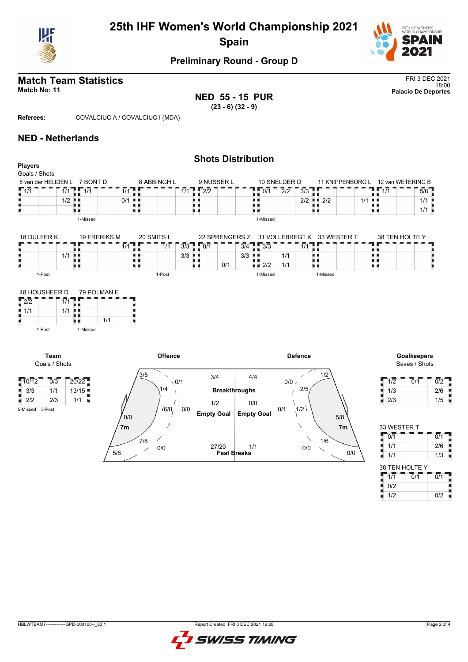



# **Match Team Statistics** FRI 3 DEC 2021

**NED 55 - 15 PUR (23 - 6) (32 - 9)**

18:00 **Match No: 11 Palacio De Deportes**

**Referees:** COVALCIUC A / COVALCIUC I (MDA)

## **NED - Netherlands**

|                                                                  |                                           |                              |                       |                                                |                      | <b>Shots Distribution</b>       |                                    |                                   |                             |                             |                                    |                                       |                                                               |
|------------------------------------------------------------------|-------------------------------------------|------------------------------|-----------------------|------------------------------------------------|----------------------|---------------------------------|------------------------------------|-----------------------------------|-----------------------------|-----------------------------|------------------------------------|---------------------------------------|---------------------------------------------------------------|
| <b>Players</b>                                                   |                                           |                              |                       |                                                |                      |                                 |                                    |                                   |                             |                             |                                    |                                       |                                                               |
| Goals / Shots                                                    |                                           |                              |                       | 8 ABBINGH L                                    |                      |                                 |                                    |                                   |                             |                             |                                    |                                       |                                                               |
|                                                                  |                                           | 6 van der HEIJDEN L 7 BONT D |                       |                                                |                      | 9 NUSSER L                      |                                    |                                   | 10 SNELDER D                |                             | 11 KNIPPENBORG L 12 van WETERING B |                                       |                                                               |
| $\sqrt{1/1}$                                                     | $\overline{1/1}$ $\overline{1}$           | $\overline{1/1}$             | 1/1                   |                                                |                      | $1/1$ $\sqrt{2/2}$              |                                    | $\overline{0/1}$<br>a.            | $\overline{2}/\overline{2}$ | $\overline{3}/3$<br>'nв.    |                                    | 1/1                                   | 5/6                                                           |
|                                                                  | $1/2$ .                                   |                              | $0/1$ .               |                                                | ш.                   |                                 |                                    | . .                               |                             | $2/2$ $\blacksquare$ 2/2    | 1/1                                | ж.                                    | 1/1                                                           |
|                                                                  |                                           |                              |                       | u 11                                           |                      | uк                              |                                    |                                   |                             | u d                         |                                    | ۳.                                    | 1/1                                                           |
|                                                                  |                                           | 1-Missed                     |                       |                                                |                      |                                 |                                    | 1-Missed                          |                             |                             |                                    |                                       |                                                               |
| 18 DULFER K                                                      |                                           | <b>19 FRERIKS M</b>          |                       | 20 SMITS I                                     |                      | 22 SPRENGERS Z                  |                                    |                                   |                             | 31 VOLLEBREGT K 33 WESTER T |                                    |                                       | 38 TEN HOLTE Y                                                |
|                                                                  |                                           |                              | $\overline{1}/1$      | 7/1                                            | 3/3                  | $\sqrt{107}$                    | $\overline{3}/4$                   | $\sqrt{3}/3$                      |                             | 1/1                         |                                    |                                       |                                                               |
|                                                                  | $1/1$ .                                   |                              |                       | n n                                            | $3/3$ $\blacksquare$ |                                 | $3/3$ $\blacksquare$               |                                   | 1/1                         | . .                         |                                    | ш                                     |                                                               |
| н                                                                | . .                                       |                              |                       | n - 11                                         |                      | 0/1<br>n n                      |                                    | $\blacksquare$ $\blacksquare$ 2/2 | 1/1                         | υи                          |                                    | ш.                                    |                                                               |
| 1-Post                                                           |                                           |                              |                       | 1-Post                                         |                      |                                 |                                    | 1-Missed                          |                             | 1-Missed                    |                                    |                                       |                                                               |
| 1-Post                                                           | Team                                      | 1-Missed                     |                       | Offence                                        |                      |                                 |                                    |                                   |                             | <b>Defence</b>              |                                    |                                       | Goalkeepers<br>Saves / Shots                                  |
|                                                                  | Goals / Shots                             |                              |                       |                                                |                      |                                 |                                    |                                   |                             |                             |                                    |                                       |                                                               |
| $-10/12$<br>$\frac{1}{2}$ 3/3<br>2/2<br>U.<br>3-Post<br>5-Missed | $\overline{3}/\overline{3}$<br>1/1<br>2/3 | 20/22<br>13/15<br>1/1<br>×   | 0/0                   | 3/5<br>$\overline{\phantom{0}}$<br>1/4<br>16/8 | $\sqrt{0/1}$<br>0/0  | 3/4<br>1/2<br><b>Empty Goal</b> | 4/4<br><b>Breakthroughs</b><br>0/0 | <b>Empty Goal</b>                 | 0/0/<br>0/1                 | 1/2<br>╱<br>2/5<br>1/2      | $5/8$                              | 1/2<br>1/3<br>2/3<br>н                | $\overline{0/2}$<br>$\overline{0}/\overline{1}$<br>2/6<br>1/5 |
|                                                                  |                                           |                              | 7 <sub>m</sub><br>5/6 | 7/8<br>0/0                                     |                      | 27/29                           | 1/1<br><b>Fast Breaks</b>          |                                   |                             | ∖<br>1/6<br>0/0             | 7 <sub>m</sub><br>0/0              | 33 WESTER T<br>0/1<br>1/1<br>1/1<br>н | $\overline{0/1}$<br>2/6<br>1/3                                |

 $1/2$  0/2

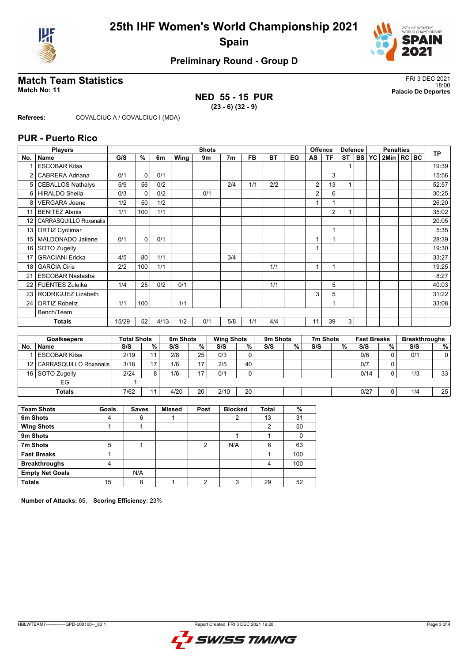



# **Match Team Statistics** FRI 3 DEC 2021

## **NED 55 - 15 PUR (23 - 6) (32 - 9)**

18:00 **Match No: 11 Palacio De Deportes**

**Referees:** COVALCIUC A / COVALCIUC I (MDA)

### **PUR - Puerto Rico**

|     | <b>Players</b>           |       | <b>Shots</b>  |      |      |     |                |           |           |    |                | <b>Offence</b> | <b>Defence</b> |           | <b>Penalties</b> |                |  |  | <b>TP</b> |
|-----|--------------------------|-------|---------------|------|------|-----|----------------|-----------|-----------|----|----------------|----------------|----------------|-----------|------------------|----------------|--|--|-----------|
| No. | Name                     | G/S   | $\frac{9}{6}$ | 6m   | Wing | 9m  | 7 <sub>m</sub> | <b>FB</b> | <b>BT</b> | EG | AS             | <b>TF</b>      | <b>ST</b>      | <b>BS</b> | <b>YC</b>        | 2Min   RC   BC |  |  |           |
|     | <b>ESCOBAR Kitsa</b>     |       |               |      |      |     |                |           |           |    |                |                |                |           |                  |                |  |  | 19:39     |
| 2   | CABRERA Adriana          | 0/1   | 0             | 0/1  |      |     |                |           |           |    |                | 3              |                |           |                  |                |  |  | 15:56     |
| 5   | <b>CEBALLOS Nathalys</b> | 5/9   | 56            | 0/2  |      |     | 2/4            | 1/1       | 2/2       |    | 2              | 13             |                |           |                  |                |  |  | 52:57     |
| 6   | <b>HIRALDO Sheila</b>    | 0/3   | 0             | 0/2  |      | 0/1 |                |           |           |    | 2              | 6              |                |           |                  |                |  |  | 30:25     |
| 8   | <b>VERGARA Joane</b>     | 1/2   | 50            | 1/2  |      |     |                |           |           |    |                | 1              |                |           |                  |                |  |  | 26:20     |
| 11  | <b>BENITEZ Alanis</b>    | 1/1   | 100           | 1/1  |      |     |                |           |           |    |                | 2              |                |           |                  |                |  |  | 35:02     |
| 12  | CARRASQUILLO Roxanalis   |       |               |      |      |     |                |           |           |    |                |                |                |           |                  |                |  |  | 20:05     |
| 13  | <b>ORTIZ Cyolimar</b>    |       |               |      |      |     |                |           |           |    |                | 1              |                |           |                  |                |  |  | 5:35      |
| 15  | MALDONADO Jailene        | 0/1   | $\Omega$      | 0/1  |      |     |                |           |           |    |                |                |                |           |                  |                |  |  | 28:39     |
| 16  | SOTO Zugeily             |       |               |      |      |     |                |           |           |    | 1              |                |                |           |                  |                |  |  | 19:30     |
| 17  | <b>GRACIANI Ericka</b>   | 4/5   | 80            | 1/1  |      |     | 3/4            |           |           |    |                |                |                |           |                  |                |  |  | 33:27     |
| 18  | <b>GARCIA Ciris</b>      | 2/2   | 100           | 1/1  |      |     |                |           | 1/1       |    | $\overline{1}$ | $\overline{ }$ |                |           |                  |                |  |  | 19:25     |
| 21  | <b>ESCOBAR Nastasha</b>  |       |               |      |      |     |                |           |           |    |                |                |                |           |                  |                |  |  | 8:27      |
| 22  | <b>FUENTES Zuleika</b>   | 1/4   | 25            | 0/2  | 0/1  |     |                |           | 1/1       |    |                | 5              |                |           |                  |                |  |  | 40:03     |
| 23  | RODRIGUEZ Lizabeth       |       |               |      |      |     |                |           |           |    | 3              | 5              |                |           |                  |                |  |  | 31:22     |
| 24  | <b>ORTIZ Robeliz</b>     | 1/1   | 100           |      | 1/1  |     |                |           |           |    |                | 1              |                |           |                  |                |  |  | 33:08     |
|     | Bench/Team               |       |               |      |      |     |                |           |           |    |                |                |                |           |                  |                |  |  |           |
|     | <b>Totals</b>            | 15/29 | 52            | 4/13 | 1/2  | 0/1 | 5/8            | 1/1       | 4/4       |    | 11             | 39             | 3              |           |                  |                |  |  |           |
|     |                          |       |               |      |      |     |                |           |           |    |                |                |                |           |                  |                |  |  |           |

| <b>Goalkeepers</b> |                        | <b>Total Shots</b> |    | 6m Shots |           | <b>Wing Shots</b> |    | 9m Shots |   | 7m Shots |   | <b>Fast Breaks</b> |   | <b>Breakthroughs</b> |                 |
|--------------------|------------------------|--------------------|----|----------|-----------|-------------------|----|----------|---|----------|---|--------------------|---|----------------------|-----------------|
| No.                | <b>Name</b>            | S/S                | %  | S/S      | %         | S/S               | %  | S/S      | % | S/S      | % | S/S                | % | S/S                  | %               |
|                    | l ESCOBAR Kitsa        | 2/19               | 11 | 2/8      | 25        | 0/3               |    |          |   |          |   | 0/6                |   | 0/1                  |                 |
| 12 <sub>1</sub>    | CARRASQUILLO Roxanalis | 3/18               | 17 | 1/6      | 47        | 2/5               | 40 |          |   |          |   | 0/7                |   |                      |                 |
|                    | 16 SOTO Zugeily        | 2/24               | 8  | 1/6      | <b>ィー</b> | 0/1               |    |          |   |          |   | 0/14               |   | 1/3                  | 33 <sup>1</sup> |
|                    | EG                     |                    |    |          |           |                   |    |          |   |          |   |                    |   |                      |                 |
|                    | Totals                 | 7/62               | 11 | 4/20     | 20        | 2/10              | 20 |          |   |          |   | 0/27               |   | 1/4                  | 25 <sub>1</sub> |

| <b>Team Shots</b>      | Goals | <b>Saves</b> | <b>Missed</b> | Post | <b>Blocked</b> | <b>Total</b> | %   |
|------------------------|-------|--------------|---------------|------|----------------|--------------|-----|
| 6m Shots               |       | 6            |               |      |                | 13           | 31  |
| <b>Wing Shots</b>      |       |              |               |      |                | ົ            | 50  |
| 9m Shots               |       |              |               |      |                |              |     |
| 7m Shots               | 5     |              |               | 2    | N/A            | 8            | 63  |
| <b>Fast Breaks</b>     |       |              |               |      |                |              | 100 |
| <b>Breakthroughs</b>   | 4     |              |               |      |                | 4            | 100 |
| <b>Empty Net Goals</b> |       | N/A          |               |      |                |              |     |
| <b>Totals</b>          | 15    | 8            |               | ົ    | 3              | 29           | 52  |

**Number of Attacks:** 65, **Scoring Efficiency:** 23%